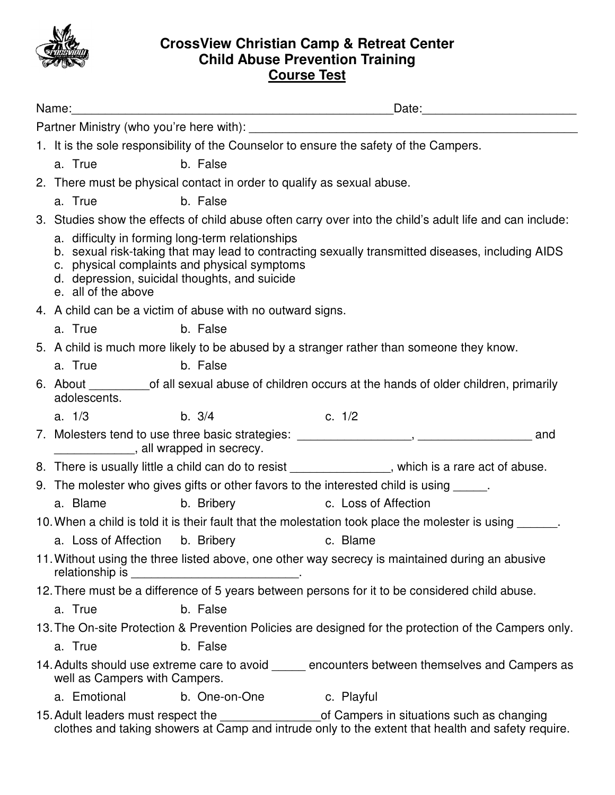

## **CrossView Christian Camp & Retreat Center Child Abuse Prevention Training Course Test**

| Name:                                                                                                 |                                                                                                                                                                                                                                                                              |                                                                                                                                                                                                                                |                      |                                                                                                          |  |
|-------------------------------------------------------------------------------------------------------|------------------------------------------------------------------------------------------------------------------------------------------------------------------------------------------------------------------------------------------------------------------------------|--------------------------------------------------------------------------------------------------------------------------------------------------------------------------------------------------------------------------------|----------------------|----------------------------------------------------------------------------------------------------------|--|
|                                                                                                       |                                                                                                                                                                                                                                                                              |                                                                                                                                                                                                                                |                      |                                                                                                          |  |
|                                                                                                       | 1. It is the sole responsibility of the Counselor to ensure the safety of the Campers.                                                                                                                                                                                       |                                                                                                                                                                                                                                |                      |                                                                                                          |  |
|                                                                                                       | a. True                                                                                                                                                                                                                                                                      | b. False                                                                                                                                                                                                                       |                      |                                                                                                          |  |
| 2. There must be physical contact in order to qualify as sexual abuse.                                |                                                                                                                                                                                                                                                                              |                                                                                                                                                                                                                                |                      |                                                                                                          |  |
|                                                                                                       | a. True                                                                                                                                                                                                                                                                      | b. False                                                                                                                                                                                                                       |                      |                                                                                                          |  |
|                                                                                                       |                                                                                                                                                                                                                                                                              |                                                                                                                                                                                                                                |                      | 3. Studies show the effects of child abuse often carry over into the child's adult life and can include: |  |
|                                                                                                       | a. difficulty in forming long-term relationships<br>b. sexual risk-taking that may lead to contracting sexually transmitted diseases, including AIDS<br>c. physical complaints and physical symptoms<br>d. depression, suicidal thoughts, and suicide<br>e. all of the above |                                                                                                                                                                                                                                |                      |                                                                                                          |  |
|                                                                                                       | 4. A child can be a victim of abuse with no outward signs.                                                                                                                                                                                                                   |                                                                                                                                                                                                                                |                      |                                                                                                          |  |
|                                                                                                       | a. True                                                                                                                                                                                                                                                                      | b. False                                                                                                                                                                                                                       |                      |                                                                                                          |  |
|                                                                                                       | 5. A child is much more likely to be abused by a stranger rather than someone they know.                                                                                                                                                                                     |                                                                                                                                                                                                                                |                      |                                                                                                          |  |
|                                                                                                       | a. True                                                                                                                                                                                                                                                                      | b. False                                                                                                                                                                                                                       |                      |                                                                                                          |  |
|                                                                                                       | 6. About ______________of all sexual abuse of children occurs at the hands of older children, primarily<br>adolescents.                                                                                                                                                      |                                                                                                                                                                                                                                |                      |                                                                                                          |  |
|                                                                                                       | b. $3/4$<br>a. $1/3$                                                                                                                                                                                                                                                         |                                                                                                                                                                                                                                | c. 1/2               |                                                                                                          |  |
|                                                                                                       | 7. Molesters tend to use three basic strategies: _______________________________<br>and<br>all wrapped in secrecy.                                                                                                                                                           |                                                                                                                                                                                                                                |                      |                                                                                                          |  |
|                                                                                                       |                                                                                                                                                                                                                                                                              | 8. There is usually little a child can do to resist ______________, which is a rare act of abuse.                                                                                                                              |                      |                                                                                                          |  |
|                                                                                                       | 9. The molester who gives gifts or other favors to the interested child is using _____.                                                                                                                                                                                      |                                                                                                                                                                                                                                |                      |                                                                                                          |  |
|                                                                                                       | a. Blame                                                                                                                                                                                                                                                                     | b. Bribery and the state of the state of the state of the state of the state of the state of the state of the state of the state of the state of the state of the state of the state of the state of the state of the state of | c. Loss of Affection |                                                                                                          |  |
|                                                                                                       |                                                                                                                                                                                                                                                                              |                                                                                                                                                                                                                                |                      | 10. When a child is told it is their fault that the molestation took place the molester is using ______. |  |
|                                                                                                       |                                                                                                                                                                                                                                                                              | a. Loss of Affection b. Bribery c. Blame                                                                                                                                                                                       |                      |                                                                                                          |  |
|                                                                                                       | 11. Without using the three listed above, one other way secrecy is maintained during an abusive<br>relationship is                                                                                                                                                           |                                                                                                                                                                                                                                |                      |                                                                                                          |  |
| 12. There must be a difference of 5 years between persons for it to be considered child abuse.        |                                                                                                                                                                                                                                                                              |                                                                                                                                                                                                                                |                      |                                                                                                          |  |
|                                                                                                       | a. True                                                                                                                                                                                                                                                                      | b. False                                                                                                                                                                                                                       |                      |                                                                                                          |  |
| 13. The On-site Protection & Prevention Policies are designed for the protection of the Campers only. |                                                                                                                                                                                                                                                                              |                                                                                                                                                                                                                                |                      |                                                                                                          |  |
|                                                                                                       | a. True                                                                                                                                                                                                                                                                      | b. False                                                                                                                                                                                                                       |                      |                                                                                                          |  |
|                                                                                                       | 14. Adults should use extreme care to avoid encounters between themselves and Campers as<br>well as Campers with Campers.                                                                                                                                                    |                                                                                                                                                                                                                                |                      |                                                                                                          |  |
|                                                                                                       | a. Emotional                                                                                                                                                                                                                                                                 | b. One-on-One                                                                                                                                                                                                                  | c. Playful           |                                                                                                          |  |
|                                                                                                       |                                                                                                                                                                                                                                                                              | 15. Adult leaders must respect the                                                                                                                                                                                             |                      | of Campers in situations such as changing                                                                |  |

clothes and taking showers at Camp and intrude only to the extent that health and safety require.